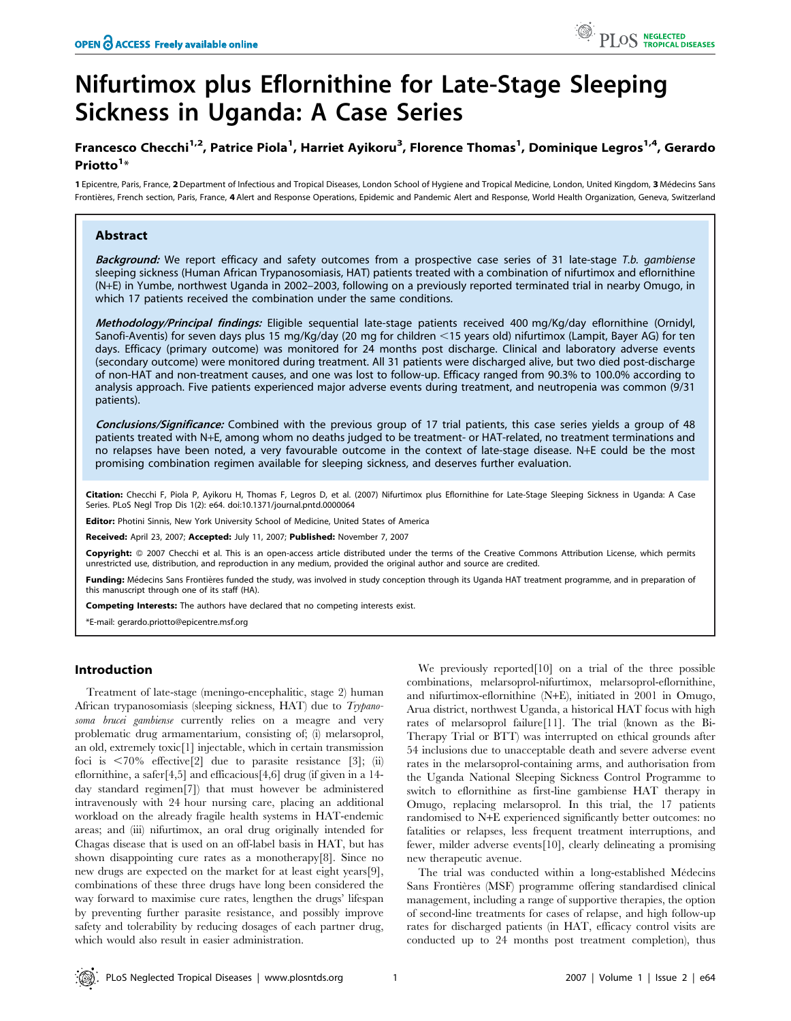# Nifurtimox plus Eflornithine for Late-Stage Sleeping Sickness in Uganda: A Case Series

## Francesco Checchi<sup>1,2</sup>, Patrice Piola<sup>1</sup>, Harriet Ayikoru<sup>3</sup>, Florence Thomas<sup>1</sup>, Dominique Legros<sup>1,4</sup>, Gerardo Priotto<sup>1</sup>\*

1 Epicentre, Paris, France, 2 Department of Infectious and Tropical Diseases, London School of Hygiene and Tropical Medicine, London, United Kingdom, 3 Médecins Sans Frontières, French section, Paris, France, 4 Alert and Response Operations, Epidemic and Pandemic Alert and Response, World Health Organization, Geneva, Switzerland

## Abstract

Background: We report efficacy and safety outcomes from a prospective case series of 31 late-stage T.b. gambiense sleeping sickness (Human African Trypanosomiasis, HAT) patients treated with a combination of nifurtimox and eflornithine (N+E) in Yumbe, northwest Uganda in 2002–2003, following on a previously reported terminated trial in nearby Omugo, in which 17 patients received the combination under the same conditions.

Methodology/Principal findings: Eligible sequential late-stage patients received 400 mg/Kg/day eflornithine (Ornidyl, Sanofi-Aventis) for seven days plus 15 mg/Kg/day (20 mg for children <15 years old) nifurtimox (Lampit, Bayer AG) for ten days. Efficacy (primary outcome) was monitored for 24 months post discharge. Clinical and laboratory adverse events (secondary outcome) were monitored during treatment. All 31 patients were discharged alive, but two died post-discharge of non-HAT and non-treatment causes, and one was lost to follow-up. Efficacy ranged from 90.3% to 100.0% according to analysis approach. Five patients experienced major adverse events during treatment, and neutropenia was common (9/31 patients).

Conclusions/Significance: Combined with the previous group of 17 trial patients, this case series yields a group of 48 patients treated with N+E, among whom no deaths judged to be treatment- or HAT-related, no treatment terminations and no relapses have been noted, a very favourable outcome in the context of late-stage disease. N+E could be the most promising combination regimen available for sleeping sickness, and deserves further evaluation.

Citation: Checchi F, Piola P, Ayikoru H, Thomas F, Legros D, et al. (2007) Nifurtimox plus Eflornithine for Late-Stage Sleeping Sickness in Uganda: A Case Series. PLoS Negl Trop Dis 1(2): e64. doi:10.1371/journal.pntd.0000064

Editor: Photini Sinnis, New York University School of Medicine, United States of America

Received: April 23, 2007; Accepted: July 11, 2007; Published: November 7, 2007

Copyright: @ 2007 Checchi et al. This is an open-access article distributed under the terms of the Creative Commons Attribution License, which permits unrestricted use, distribution, and reproduction in any medium, provided the original author and source are credited.

Funding: Médecins Sans Frontières funded the study, was involved in study conception through its Uganda HAT treatment programme, and in preparation of this manuscript through one of its staff (HA).

Competing Interests: The authors have declared that no competing interests exist.

\*E-mail: gerardo.priotto@epicentre.msf.org

## Introduction

Treatment of late-stage (meningo-encephalitic, stage 2) human African trypanosomiasis (sleeping sickness, HAT) due to *Trypano*soma brucei gambiense currently relies on a meagre and very problematic drug armamentarium, consisting of; (i) melarsoprol, an old, extremely toxic[1] injectable, which in certain transmission foci is  $\langle 70\% \text{ effective} [2]$  due to parasite resistance [3]; (ii) eflornithine, a safer[4,5] and efficacious[4,6] drug (if given in a 14 day standard regimen[7]) that must however be administered intravenously with 24 hour nursing care, placing an additional workload on the already fragile health systems in HAT-endemic areas; and (iii) nifurtimox, an oral drug originally intended for Chagas disease that is used on an off-label basis in HAT, but has shown disappointing cure rates as a monotherapy[8]. Since no new drugs are expected on the market for at least eight years[9], combinations of these three drugs have long been considered the way forward to maximise cure rates, lengthen the drugs' lifespan by preventing further parasite resistance, and possibly improve safety and tolerability by reducing dosages of each partner drug, which would also result in easier administration.

We previously reported[10] on a trial of the three possible combinations, melarsoprol-nifurtimox, melarsoprol-eflornithine, and nifurtimox-eflornithine (N+E), initiated in 2001 in Omugo, Arua district, northwest Uganda, a historical HAT focus with high rates of melarsoprol failure[11]. The trial (known as the Bi-Therapy Trial or BTT) was interrupted on ethical grounds after 54 inclusions due to unacceptable death and severe adverse event rates in the melarsoprol-containing arms, and authorisation from the Uganda National Sleeping Sickness Control Programme to switch to eflornithine as first-line gambiense HAT therapy in Omugo, replacing melarsoprol. In this trial, the 17 patients randomised to N+E experienced significantly better outcomes: no fatalities or relapses, less frequent treatment interruptions, and fewer, milder adverse events[10], clearly delineating a promising new therapeutic avenue.

The trial was conducted within a long-established Médecins Sans Frontières (MSF) programme offering standardised clinical management, including a range of supportive therapies, the option of second-line treatments for cases of relapse, and high follow-up rates for discharged patients (in HAT, efficacy control visits are conducted up to 24 months post treatment completion), thus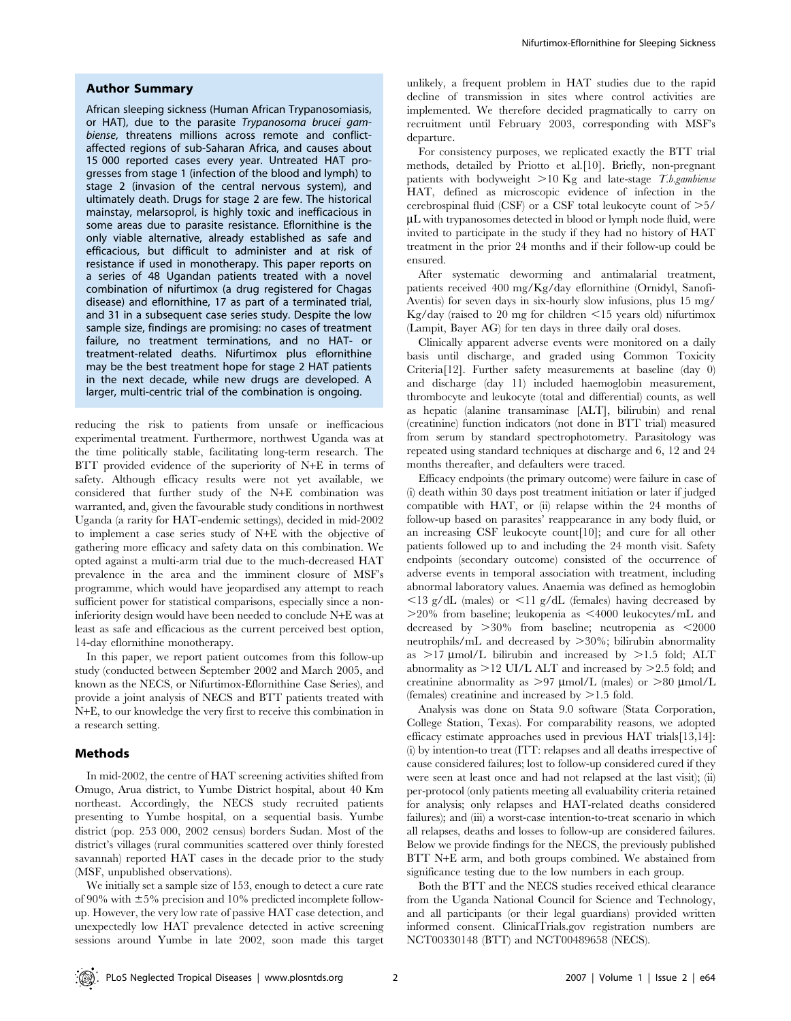#### Author Summary

African sleeping sickness (Human African Trypanosomiasis, or HAT), due to the parasite Trypanosoma brucei gambiense, threatens millions across remote and conflictaffected regions of sub-Saharan Africa, and causes about 15 000 reported cases every year. Untreated HAT progresses from stage 1 (infection of the blood and lymph) to stage 2 (invasion of the central nervous system), and ultimately death. Drugs for stage 2 are few. The historical mainstay, melarsoprol, is highly toxic and inefficacious in some areas due to parasite resistance. Eflornithine is the only viable alternative, already established as safe and efficacious, but difficult to administer and at risk of resistance if used in monotherapy. This paper reports on a series of 48 Ugandan patients treated with a novel combination of nifurtimox (a drug registered for Chagas disease) and eflornithine, 17 as part of a terminated trial, and 31 in a subsequent case series study. Despite the low sample size, findings are promising: no cases of treatment failure, no treatment terminations, and no HAT- or treatment-related deaths. Nifurtimox plus eflornithine may be the best treatment hope for stage 2 HAT patients in the next decade, while new drugs are developed. A larger, multi-centric trial of the combination is ongoing.

reducing the risk to patients from unsafe or inefficacious experimental treatment. Furthermore, northwest Uganda was at the time politically stable, facilitating long-term research. The BTT provided evidence of the superiority of N+E in terms of safety. Although efficacy results were not yet available, we considered that further study of the N+E combination was warranted, and, given the favourable study conditions in northwest Uganda (a rarity for HAT-endemic settings), decided in mid-2002 to implement a case series study of N+E with the objective of gathering more efficacy and safety data on this combination. We opted against a multi-arm trial due to the much-decreased HAT prevalence in the area and the imminent closure of MSF's programme, which would have jeopardised any attempt to reach sufficient power for statistical comparisons, especially since a noninferiority design would have been needed to conclude N+E was at least as safe and efficacious as the current perceived best option, 14-day eflornithine monotherapy.

In this paper, we report patient outcomes from this follow-up study (conducted between September 2002 and March 2005, and known as the NECS, or Nifurtimox-Eflornithine Case Series), and provide a joint analysis of NECS and BTT patients treated with N+E, to our knowledge the very first to receive this combination in a research setting.

## Methods

In mid-2002, the centre of HAT screening activities shifted from Omugo, Arua district, to Yumbe District hospital, about 40 Km northeast. Accordingly, the NECS study recruited patients presenting to Yumbe hospital, on a sequential basis. Yumbe district (pop. 253 000, 2002 census) borders Sudan. Most of the district's villages (rural communities scattered over thinly forested savannah) reported HAT cases in the decade prior to the study (MSF, unpublished observations).

We initially set a sample size of 153, enough to detect a cure rate of 90% with  $\pm 5$ % precision and 10% predicted incomplete followup. However, the very low rate of passive HAT case detection, and unexpectedly low HAT prevalence detected in active screening sessions around Yumbe in late 2002, soon made this target

unlikely, a frequent problem in HAT studies due to the rapid decline of transmission in sites where control activities are implemented. We therefore decided pragmatically to carry on recruitment until February 2003, corresponding with MSF's departure.

For consistency purposes, we replicated exactly the BTT trial methods, detailed by Priotto et al.[10]. Briefly, non-pregnant patients with bodyweight  $>10$  Kg and late-stage T.b.gambiense HAT, defined as microscopic evidence of infection in the cerebrospinal fluid (CSF) or a CSF total leukocyte count of  $\geq 5/$ mL with trypanosomes detected in blood or lymph node fluid, were invited to participate in the study if they had no history of HAT treatment in the prior 24 months and if their follow-up could be ensured.

After systematic deworming and antimalarial treatment, patients received 400 mg/Kg/day eflornithine (Ornidyl, Sanofi-Aventis) for seven days in six-hourly slow infusions, plus 15 mg/ Kg/day (raised to 20 mg for children  $\leq$ 15 years old) nifurtimox (Lampit, Bayer AG) for ten days in three daily oral doses.

Clinically apparent adverse events were monitored on a daily basis until discharge, and graded using Common Toxicity Criteria[12]. Further safety measurements at baseline (day 0) and discharge (day 11) included haemoglobin measurement, thrombocyte and leukocyte (total and differential) counts, as well as hepatic (alanine transaminase [ALT], bilirubin) and renal (creatinine) function indicators (not done in BTT trial) measured from serum by standard spectrophotometry. Parasitology was repeated using standard techniques at discharge and 6, 12 and 24 months thereafter, and defaulters were traced.

Efficacy endpoints (the primary outcome) were failure in case of (i) death within 30 days post treatment initiation or later if judged compatible with HAT, or (ii) relapse within the 24 months of follow-up based on parasites' reappearance in any body fluid, or an increasing CSF leukocyte count[10]; and cure for all other patients followed up to and including the 24 month visit. Safety endpoints (secondary outcome) consisted of the occurrence of adverse events in temporal association with treatment, including abnormal laboratory values. Anaemia was defined as hemoglobin  $\langle 13 \text{ g/dL} \rangle$  (males) or  $\langle 11 \text{ g/dL} \rangle$  (females) having decreased by  $>$  20% from baseline; leukopenia as  $<$  4000 leukocytes/mL and decreased by  $>30\%$  from baseline; neutropenia as  $\leq 2000$ neutrophils/mL and decreased by  $>30\%$ ; bilirubin abnormality as  $>17 \mu$ mol/L bilirubin and increased by  $>1.5$  fold; ALT abnormality as  $>12$  UI/L ALT and increased by  $>2.5$  fold; and creatinine abnormality as  $>97 \mu$ mol/L (males) or  $>80 \mu$ mol/L (females) creatinine and increased by  $>1.5$  fold.

Analysis was done on Stata 9.0 software (Stata Corporation, College Station, Texas). For comparability reasons, we adopted efficacy estimate approaches used in previous HAT trials[13,14]: (i) by intention-to treat (ITT: relapses and all deaths irrespective of cause considered failures; lost to follow-up considered cured if they were seen at least once and had not relapsed at the last visit); (ii) per-protocol (only patients meeting all evaluability criteria retained for analysis; only relapses and HAT-related deaths considered failures); and (iii) a worst-case intention-to-treat scenario in which all relapses, deaths and losses to follow-up are considered failures. Below we provide findings for the NECS, the previously published BTT N+E arm, and both groups combined. We abstained from significance testing due to the low numbers in each group.

Both the BTT and the NECS studies received ethical clearance from the Uganda National Council for Science and Technology, and all participants (or their legal guardians) provided written informed consent. ClinicalTrials.gov registration numbers are NCT00330148 (BTT) and NCT00489658 (NECS).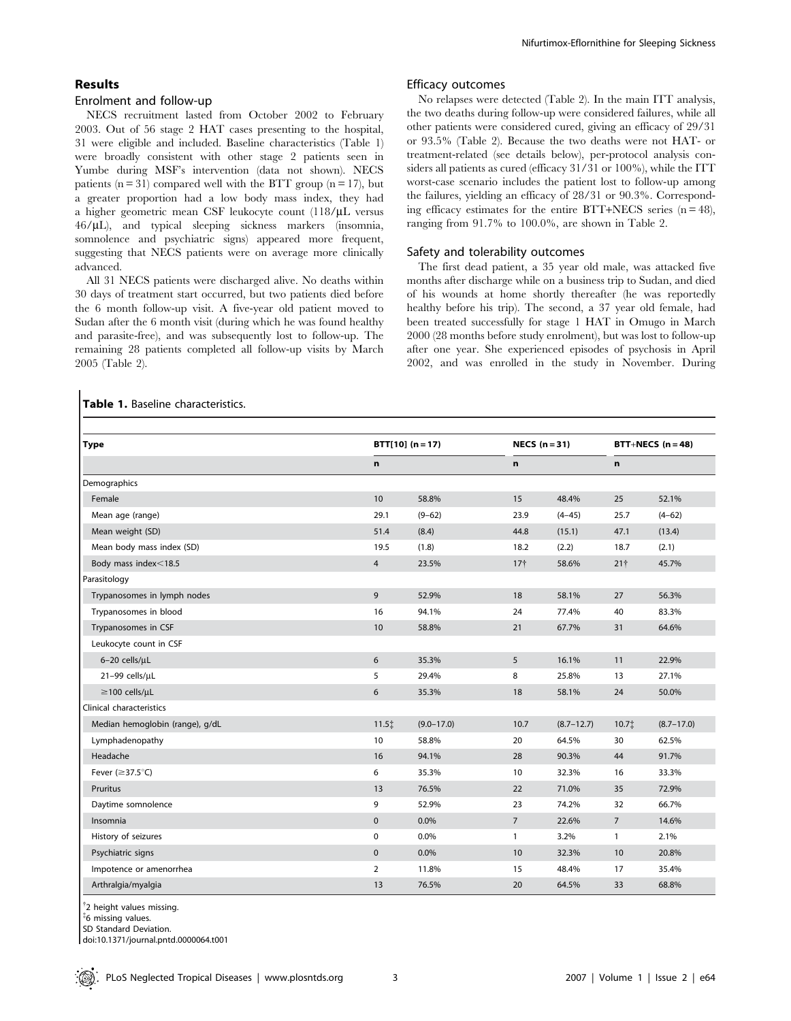## Results

## Enrolment and follow-up

Table 1. Baseline characteristics.

NECS recruitment lasted from October 2002 to February 2003. Out of 56 stage 2 HAT cases presenting to the hospital, 31 were eligible and included. Baseline characteristics (Table 1) were broadly consistent with other stage 2 patients seen in Yumbe during MSF's intervention (data not shown). NECS patients  $(n = 31)$  compared well with the BTT group  $(n = 17)$ , but a greater proportion had a low body mass index, they had a higher geometric mean CSF leukocyte count  $(118/\mu L)$  versus 46/mL), and typical sleeping sickness markers (insomnia, somnolence and psychiatric signs) appeared more frequent, suggesting that NECS patients were on average more clinically advanced.

All 31 NECS patients were discharged alive. No deaths within 30 days of treatment start occurred, but two patients died before the 6 month follow-up visit. A five-year old patient moved to Sudan after the 6 month visit (during which he was found healthy and parasite-free), and was subsequently lost to follow-up. The remaining 28 patients completed all follow-up visits by March 2005 (Table 2).

#### Nifurtimox-Eflornithine for Sleeping Sickness

#### Efficacy outcomes

No relapses were detected (Table 2). In the main ITT analysis, the two deaths during follow-up were considered failures, while all other patients were considered cured, giving an efficacy of 29/31 or 93.5% (Table 2). Because the two deaths were not HAT- or treatment-related (see details below), per-protocol analysis considers all patients as cured (efficacy 31/31 or 100%), while the ITT worst-case scenario includes the patient lost to follow-up among the failures, yielding an efficacy of 28/31 or 90.3%. Corresponding efficacy estimates for the entire BTT+NECS series  $(n = 48)$ , ranging from 91.7% to 100.0%, are shown in Table 2.

## Safety and tolerability outcomes

The first dead patient, a 35 year old male, was attacked five months after discharge while on a business trip to Sudan, and died of his wounds at home shortly thereafter (he was reportedly healthy before his trip). The second, a 37 year old female, had been treated successfully for stage 1 HAT in Omugo in March 2000 (28 months before study enrolment), but was lost to follow-up after one year. She experienced episodes of psychosis in April 2002, and was enrolled in the study in November. During

| <b>Type</b>                     | $BTT[10] (n = 17)$ |                |                 | NECS $(n=31)$  |                 | BTT+NECS $(n = 48)$ |  |
|---------------------------------|--------------------|----------------|-----------------|----------------|-----------------|---------------------|--|
|                                 | $\mathbf n$        | $\mathbf n$    |                 | n              |                 |                     |  |
| Demographics                    |                    |                |                 |                |                 |                     |  |
| Female                          | 10                 | 58.8%          | 15              | 48.4%          | 25              | 52.1%               |  |
| Mean age (range)                | 29.1               | $(9 - 62)$     | 23.9            | $(4 - 45)$     | 25.7            | $(4 - 62)$          |  |
| Mean weight (SD)                | 51.4               | (8.4)          | 44.8            | (15.1)         | 47.1            | (13.4)              |  |
| Mean body mass index (SD)       | 19.5               | (1.8)          | 18.2            | (2.2)          | 18.7            | (2.1)               |  |
| Body mass index<18.5            | $\overline{4}$     | 23.5%          | 17 <sup>†</sup> | 58.6%          | 21 <sup>†</sup> | 45.7%               |  |
| Parasitology                    |                    |                |                 |                |                 |                     |  |
| Trypanosomes in lymph nodes     | 9                  | 52.9%          | 18              | 58.1%          | 27              | 56.3%               |  |
| Trypanosomes in blood           | 16                 | 94.1%          | 24              | 77.4%          | 40              | 83.3%               |  |
| Trypanosomes in CSF             | 10                 | 58.8%          | 21              | 67.7%          | 31              | 64.6%               |  |
| Leukocyte count in CSF          |                    |                |                 |                |                 |                     |  |
| $6-20$ cells/ $\mu$ L           | 6                  | 35.3%          | 5               | 16.1%          | 11              | 22.9%               |  |
| 21-99 cells/µL                  | 5                  | 29.4%          | 8               | 25.8%          | 13              | 27.1%               |  |
| $\geq$ 100 cells/µL             | 6                  | 35.3%          | 18              | 58.1%          | 24              | 50.0%               |  |
| Clinical characteristics        |                    |                |                 |                |                 |                     |  |
| Median hemoglobin (range), g/dL | 11.51              | $(9.0 - 17.0)$ | 10.7            | $(8.7 - 12.7)$ | 10.71           | $(8.7 - 17.0)$      |  |
| Lymphadenopathy                 | 10                 | 58.8%          | 20              | 64.5%          | 30              | 62.5%               |  |
| Headache                        | 16                 | 94.1%          | 28              | 90.3%          | 44              | 91.7%               |  |
| Fever $(\geq 37.5^{\circ}C)$    | 6                  | 35.3%          | 10              | 32.3%          | 16              | 33.3%               |  |
| <b>Pruritus</b>                 | 13                 | 76.5%          | 22              | 71.0%          | 35              | 72.9%               |  |
| Daytime somnolence              | 9                  | 52.9%          | 23              | 74.2%          | 32              | 66.7%               |  |
| Insomnia                        | $\mathbf{0}$       | 0.0%           | $\overline{7}$  | 22.6%          | $\overline{7}$  | 14.6%               |  |
| History of seizures             | $\mathbf 0$        | 0.0%           | $\mathbf{1}$    | 3.2%           | $\mathbf{1}$    | 2.1%                |  |
| Psychiatric signs               | $\mathbf 0$        | 0.0%           | 10              | 32.3%          | 10              | 20.8%               |  |
| Impotence or amenorrhea         | $\overline{2}$     | 11.8%          | 15              | 48.4%          | 17              | 35.4%               |  |
| Arthralgia/myalgia              | 13                 | 76.5%          | 20              | 64.5%          | 33              | 68.8%               |  |

### <sup>†</sup>2 height values missing.

{ 6 missing values.

SD Standard Deviation.

doi:10.1371/journal.pntd.0000064.t001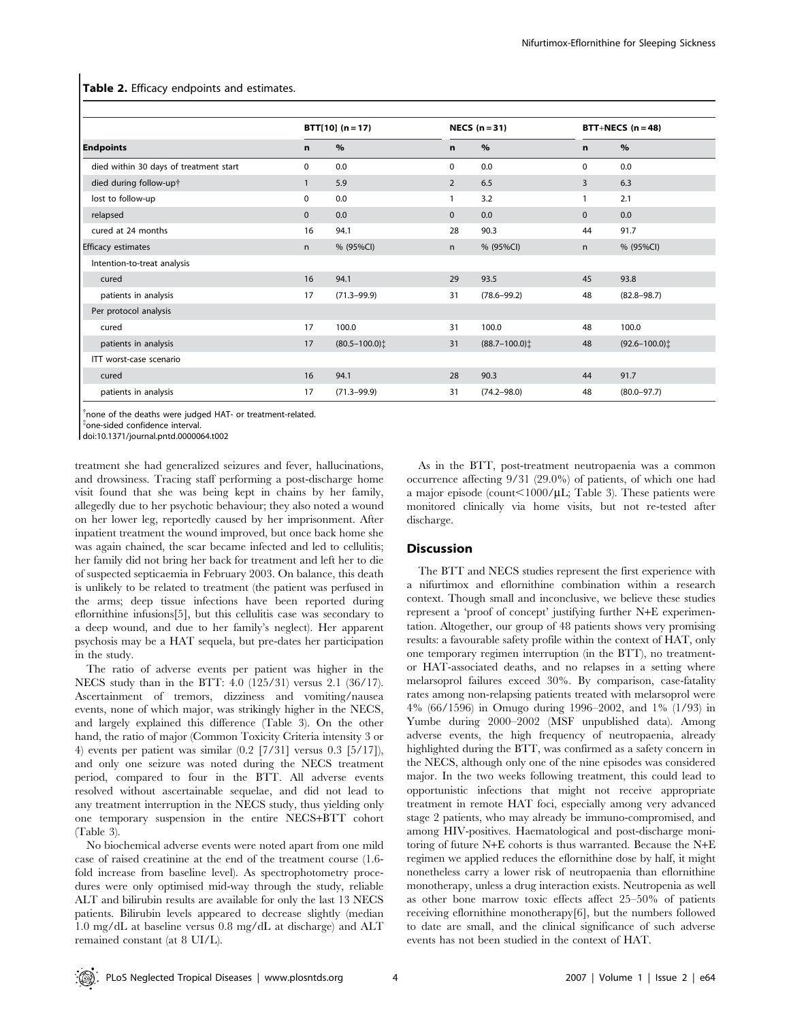|                                        |              | $BTT[10] (n = 17)$ |                | NECS $(n=31)$                 |              | BTT+NECS $(n=48)$             |  |  |
|----------------------------------------|--------------|--------------------|----------------|-------------------------------|--------------|-------------------------------|--|--|
| <b>Endpoints</b>                       |              | $\%$               | $\mathbf n$    | $\%$                          | n            | $\%$                          |  |  |
| died within 30 days of treatment start | $\mathbf 0$  | 0.0                | $\mathbf 0$    | 0.0                           | 0            | 0.0                           |  |  |
| died during follow-up†                 | $\mathbf{1}$ | 5.9                | 2              | 6.5                           | 3            | 6.3                           |  |  |
| lost to follow-up                      | $\mathbf 0$  | 0.0                | $\overline{1}$ | 3.2                           | $\mathbf{1}$ | 2.1                           |  |  |
| relapsed                               | $\mathbf{0}$ | 0.0                | $\Omega$       | 0.0                           | $\mathbf{0}$ | 0.0                           |  |  |
| cured at 24 months                     | 16           | 94.1               | 28             | 90.3                          | 44           | 91.7                          |  |  |
| Efficacy estimates                     | n            | % (95%CI)          | n              | % (95%CI)                     | n.           | % (95%CI)                     |  |  |
| Intention-to-treat analysis            |              |                    |                |                               |              |                               |  |  |
| cured                                  | 16           | 94.1               | 29             | 93.5                          | 45           | 93.8                          |  |  |
| patients in analysis                   | 17           | $(71.3 - 99.9)$    | 31             | $(78.6 - 99.2)$               | 48           | $(82.8 - 98.7)$               |  |  |
| Per protocol analysis                  |              |                    |                |                               |              |                               |  |  |
| cured                                  | 17           | 100.0              | 31             | 100.0                         | 48           | 100.0                         |  |  |
| patients in analysis                   | 17           | $(80.5 - 100.0)$   | 31             | $(88.7 - 100.0)$ <sup>†</sup> | 48           | $(92.6 - 100.0)$ <sup>†</sup> |  |  |
| ITT worst-case scenario                |              |                    |                |                               |              |                               |  |  |
| cured                                  | 16           | 94.1               | 28             | 90.3                          | 44           | 91.7                          |  |  |
| patients in analysis                   | 17           | $(71.3 - 99.9)$    | 31             | $(74.2 - 98.0)$               | 48           | $(80.0 - 97.7)$               |  |  |

Table 2. Efficacy endpoints and estimates.

<sup>†</sup>none of the deaths were judged HAT- or treatment-related.

 $\overline{\phantom{a}}$ one-sided confidence interval.

doi:10.1371/journal.pntd.0000064.t002

treatment she had generalized seizures and fever, hallucinations, and drowsiness. Tracing staff performing a post-discharge home visit found that she was being kept in chains by her family, allegedly due to her psychotic behaviour; they also noted a wound on her lower leg, reportedly caused by her imprisonment. After inpatient treatment the wound improved, but once back home she was again chained, the scar became infected and led to cellulitis; her family did not bring her back for treatment and left her to die of suspected septicaemia in February 2003. On balance, this death is unlikely to be related to treatment (the patient was perfused in the arms; deep tissue infections have been reported during eflornithine infusions[5], but this cellulitis case was secondary to a deep wound, and due to her family's neglect). Her apparent psychosis may be a HAT sequela, but pre-dates her participation in the study.

The ratio of adverse events per patient was higher in the NECS study than in the BTT: 4.0 (125/31) versus 2.1 (36/17). Ascertainment of tremors, dizziness and vomiting/nausea events, none of which major, was strikingly higher in the NECS, and largely explained this difference (Table 3). On the other hand, the ratio of major (Common Toxicity Criteria intensity 3 or 4) events per patient was similar (0.2 [7/31] versus 0.3 [5/17]), and only one seizure was noted during the NECS treatment period, compared to four in the BTT. All adverse events resolved without ascertainable sequelae, and did not lead to any treatment interruption in the NECS study, thus yielding only one temporary suspension in the entire NECS+BTT cohort (Table 3).

No biochemical adverse events were noted apart from one mild case of raised creatinine at the end of the treatment course (1.6 fold increase from baseline level). As spectrophotometry procedures were only optimised mid-way through the study, reliable ALT and bilirubin results are available for only the last 13 NECS patients. Bilirubin levels appeared to decrease slightly (median 1.0 mg/dL at baseline versus 0.8 mg/dL at discharge) and ALT remained constant (at 8 UI/L).

As in the BTT, post-treatment neutropaenia was a common occurrence affecting 9/31 (29.0%) of patients, of which one had a major episode (count $\leq1000/\mu L$ ; Table 3). These patients were monitored clinically via home visits, but not re-tested after discharge.

#### **Discussion**

The BTT and NECS studies represent the first experience with a nifurtimox and eflornithine combination within a research context. Though small and inconclusive, we believe these studies represent a 'proof of concept' justifying further N+E experimentation. Altogether, our group of 48 patients shows very promising results: a favourable safety profile within the context of HAT, only one temporary regimen interruption (in the BTT), no treatmentor HAT-associated deaths, and no relapses in a setting where melarsoprol failures exceed 30%. By comparison, case-fatality rates among non-relapsing patients treated with melarsoprol were 4% (66/1596) in Omugo during 1996–2002, and 1% (1/93) in Yumbe during 2000–2002 (MSF unpublished data). Among adverse events, the high frequency of neutropaenia, already highlighted during the BTT, was confirmed as a safety concern in the NECS, although only one of the nine episodes was considered major. In the two weeks following treatment, this could lead to opportunistic infections that might not receive appropriate treatment in remote HAT foci, especially among very advanced stage 2 patients, who may already be immuno-compromised, and among HIV-positives. Haematological and post-discharge monitoring of future N+E cohorts is thus warranted. Because the N+E regimen we applied reduces the eflornithine dose by half, it might nonetheless carry a lower risk of neutropaenia than eflornithine monotherapy, unless a drug interaction exists. Neutropenia as well as other bone marrow toxic effects affect 25–50% of patients receiving eflornithine monotherapy[6], but the numbers followed to date are small, and the clinical significance of such adverse events has not been studied in the context of HAT.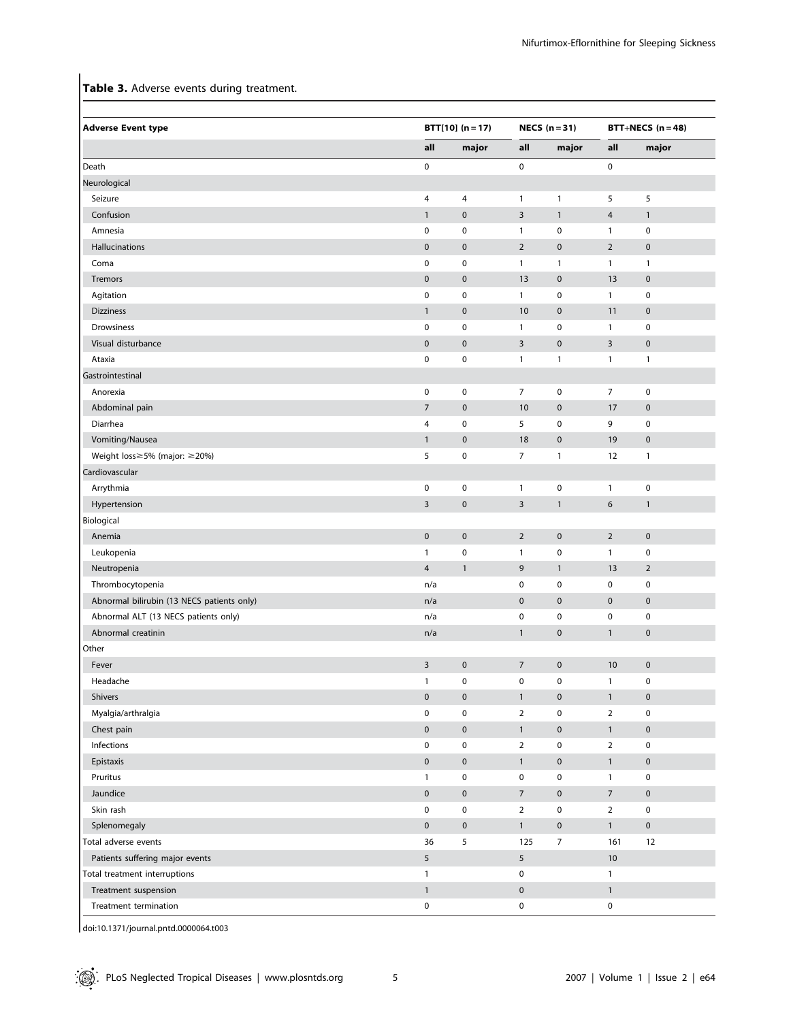## Table 3. Adverse events during treatment.

| <b>Adverse Event type</b>                  |                | $BTT[10] (n = 17)$ |                         | NECS $(n=31)$       |                | BTT+NECS $(n=48)$ |  |
|--------------------------------------------|----------------|--------------------|-------------------------|---------------------|----------------|-------------------|--|
|                                            | all            | major              | all                     | major               | all            | major             |  |
| Death                                      | $\pmb{0}$      |                    | 0                       |                     | $\mathsf 0$    |                   |  |
| Neurological                               |                |                    |                         |                     |                |                   |  |
| Seizure                                    | 4              | $\overline{4}$     | $\mathbf{1}$            | $\mathbf{1}$        | 5              | 5                 |  |
| Confusion                                  | $\mathbf{1}$   | $\pmb{0}$          | 3                       | $\mathbf{1}$        | 4              | $\mathbf{1}$      |  |
| Amnesia                                    | $\pmb{0}$      | $\pmb{0}$          | $\mathbf{1}$            | 0                   | $\mathbf{1}$   | $\pmb{0}$         |  |
| Hallucinations                             | $\mathbf 0$    | $\pmb{0}$          | $\overline{2}$          | $\pmb{0}$           | $\overline{2}$ | $\pmb{0}$         |  |
| Coma                                       | $\mathbf 0$    | $\pmb{0}$          | $\mathbf{1}$            | $\mathbf{1}$        | $\mathbf{1}$   | $\mathbf{1}$      |  |
| Tremors                                    | $\pmb{0}$      | $\pmb{0}$          | 13                      | $\pmb{0}$           | 13             | $\pmb{0}$         |  |
| Agitation                                  | $\pmb{0}$      | $\pmb{0}$          | $\mathbf{1}$            | $\mathbf 0$         | $\mathbf{1}$   | $\pmb{0}$         |  |
| <b>Dizziness</b>                           | $\mathbf{1}$   | $\pmb{0}$          | 10                      | $\mathbf 0$         | 11             | $\mathbf 0$       |  |
| Drowsiness                                 | $\pmb{0}$      | $\pmb{0}$          | $\mathbf{1}$            | $\pmb{0}$           | $\mathbf{1}$   | $\pmb{0}$         |  |
| Visual disturbance                         | $\pmb{0}$      | $\pmb{0}$          | 3                       | $\mathbf 0$         | $\mathsf{3}$   | $\pmb{0}$         |  |
| Ataxia                                     | $\pmb{0}$      | $\pmb{0}$          | $\mathbf{1}$            | $\mathbf{1}$        | $\mathbf{1}$   | $\mathbf{1}$      |  |
| Gastrointestinal                           |                |                    |                         |                     |                |                   |  |
| Anorexia                                   | $\mathbf 0$    | $\pmb{0}$          | 7                       | $\mathbf 0$         | $\overline{7}$ | $\pmb{0}$         |  |
| Abdominal pain                             | $\overline{7}$ | $\pmb{0}$          | 10                      | $\pmb{0}$           | 17             | $\mathbf 0$       |  |
| Diarrhea                                   | 4              | $\pmb{0}$          | 5                       | $\mathbf 0$         | 9              | $\pmb{0}$         |  |
| Vomiting/Nausea                            | $\mathbf{1}$   | $\pmb{0}$          | 18                      | $\pmb{0}$           | 19             | $\mathbf 0$       |  |
| Weight loss≥5% (major: ≥20%)               | 5              | $\pmb{0}$          | 7                       | $\mathbf{1}$        | 12             | $\mathbf{1}$      |  |
| Cardiovascular                             |                |                    |                         |                     |                |                   |  |
| Arrythmia                                  | $\pmb{0}$      | $\pmb{0}$          | $\mathbf{1}$            | 0                   | $\mathbf{1}$   | $\pmb{0}$         |  |
| Hypertension                               | $\overline{3}$ | $\pmb{0}$          | $\overline{\mathbf{3}}$ | $\mathbf{1}$        | 6              | $\mathbf{1}$      |  |
| Biological                                 |                |                    |                         |                     |                |                   |  |
| Anemia                                     | $\pmb{0}$      | $\pmb{0}$          | $\overline{2}$          | $\pmb{0}$           | $\overline{2}$ | $\pmb{0}$         |  |
| Leukopenia                                 | $\mathbf{1}$   | $\pmb{0}$          | $\mathbf{1}$            | $\mathbf 0$         | $\mathbf{1}$   | $\pmb{0}$         |  |
| Neutropenia                                | $\overline{4}$ | $\mathbf{1}$       | 9                       | $\mathbf{1}$        | 13             | $\overline{2}$    |  |
| Thrombocytopenia                           | n/a            |                    | $\pmb{0}$               | $\mathbf 0$         | 0              | $\pmb{0}$         |  |
| Abnormal bilirubin (13 NECS patients only) | n/a            |                    | $\mathbf 0$             | $\mathbf 0$         | $\pmb{0}$      | $\pmb{0}$         |  |
| Abnormal ALT (13 NECS patients only)       | n/a            |                    | 0                       | $\mathbf 0$         | $\pmb{0}$      | $\pmb{0}$         |  |
| Abnormal creatinin                         | n/a            |                    | $\mathbf{1}$            | $\mathbf 0$         | $\mathbf{1}$   | $\mathbf 0$       |  |
| Other                                      |                |                    |                         |                     |                |                   |  |
| Fever                                      | $\overline{3}$ | $\pmb{0}$          | $\overline{7}$          | $\pmb{0}$           | 10             | $\pmb{0}$         |  |
| Headache                                   | $\mathbf{1}$   | $\pmb{0}$          | 0                       | 0                   | $\mathbf{1}$   | $\pmb{0}$         |  |
| Shivers                                    | $\pmb{0}$      | $\pmb{0}$          | $\mathbf{1}$            | $\mathbf 0$         | $\mathbf 1$    | $\pmb{0}$         |  |
| Myalgia/arthralgia                         | $\pmb{0}$      | $\pmb{0}$          | $\overline{2}$          | $\mathbf 0$         | $\overline{2}$ | $\pmb{0}$         |  |
| Chest pain                                 | $\mathbf 0$    | $\pmb{0}$          | $\mathbf{1}$            | $\mathbf 0$         | $\mathbf{1}$   | $\pmb{0}$         |  |
| Infections                                 | $\pmb{0}$      | $\pmb{0}$          | $\overline{2}$          | $\mathsf{O}\xspace$ | $\overline{2}$ | $\pmb{0}$         |  |
| Epistaxis                                  | $\pmb{0}$      | $\pmb{0}$          | $\mathbf{1}$            | $\mathbf 0$         | $\mathbf{1}$   | $\pmb{0}$         |  |
| Pruritus                                   | $\mathbf{1}$   | $\pmb{0}$          | 0                       | $\mathsf{O}\xspace$ | $\mathbf{1}$   | $\pmb{0}$         |  |
| Jaundice                                   | $\pmb{0}$      | $\pmb{0}$          | $\overline{7}$          | $\mathbf 0$         | $\overline{7}$ | $\pmb{0}$         |  |
| Skin rash                                  | $\pmb{0}$      | $\pmb{0}$          | $\overline{2}$          | $\mathsf{O}\xspace$ | $\overline{2}$ | $\pmb{0}$         |  |
| Splenomegaly                               | $\mathbf 0$    | $\pmb{0}$          | $\mathbf{1}$            | $\mathbf 0$         | $\mathbf{1}$   | $\pmb{0}$         |  |
| Total adverse events                       | 36             | 5                  | 125                     | $\boldsymbol{7}$    | 161            | 12                |  |
| Patients suffering major events            | 5              |                    | 5                       |                     | 10             |                   |  |
| Total treatment interruptions              | $\mathbf{1}$   |                    | 0                       |                     | $\mathbf{1}$   |                   |  |
| Treatment suspension                       | $\mathbf{1}$   |                    | $\mathsf{O}\xspace$     |                     | $\mathbf{1}$   |                   |  |
| Treatment termination                      | $\pmb{0}$      |                    | 0                       |                     | $\pmb{0}$      |                   |  |

doi:10.1371/journal.pntd.0000064.t003